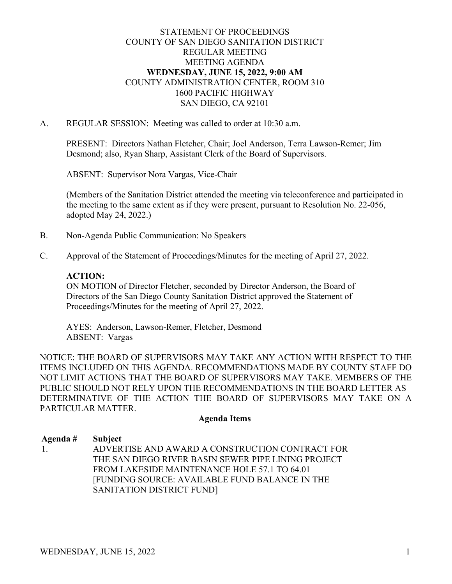### STATEMENT OF PROCEEDINGS COUNTY OF SAN DIEGO SANITATION DISTRICT REGULAR MEETING MEETING AGENDA **WEDNESDAY, JUNE 15, 2022, 9:00 AM** COUNTY ADMINISTRATION CENTER, ROOM 310 1600 PACIFIC HIGHWAY SAN DIEGO, CA 92101

#### A. REGULAR SESSION: Meeting was called to order at 10:30 a.m.

PRESENT: Directors Nathan Fletcher, Chair; Joel Anderson, Terra Lawson-Remer; Jim Desmond; also, Ryan Sharp, Assistant Clerk of the Board of Supervisors.

ABSENT: Supervisor Nora Vargas, Vice-Chair

(Members of the Sanitation District attended the meeting via teleconference and participated in the meeting to the same extent as if they were present, pursuant to Resolution No. 22-056, adopted May 24, 2022.)

- B. Non-Agenda Public Communication: No Speakers
- C. Approval of the Statement of Proceedings/Minutes for the meeting of April 27, 2022.

#### **ACTION:**

ON MOTION of Director Fletcher, seconded by Director Anderson, the Board of Directors of the San Diego County Sanitation District approved the Statement of Proceedings/Minutes for the meeting of April 27, 2022.

AYES: Anderson, Lawson-Remer, Fletcher, Desmond ABSENT: Vargas

NOTICE: THE BOARD OF SUPERVISORS MAY TAKE ANY ACTION WITH RESPECT TO THE ITEMS INCLUDED ON THIS AGENDA. RECOMMENDATIONS MADE BY COUNTY STAFF DO NOT LIMIT ACTIONS THAT THE BOARD OF SUPERVISORS MAY TAKE. MEMBERS OF THE PUBLIC SHOULD NOT RELY UPON THE RECOMMENDATIONS IN THE BOARD LETTER AS DETERMINATIVE OF THE ACTION THE BOARD OF SUPERVISORS MAY TAKE ON A PARTICULAR MATTER.

#### **Agenda Items**

**Agenda # Subject** 1. ADVERTISE AND AWARD A CONSTRUCTION CONTRACT FOR THE SAN DIEGO RIVER BASIN SEWER PIPE LINING PROJECT FROM LAKESIDE MAINTENANCE HOLE 57.1 TO 64.01 [FUNDING SOURCE: AVAILABLE FUND BALANCE IN THE SANITATION DISTRICT FUND]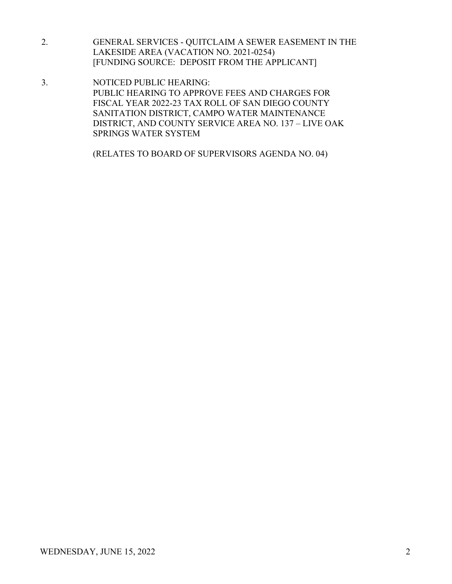- 2. GENERAL SERVICES QUITCLAIM A SEWER EASEMENT IN THE LAKESIDE AREA (VACATION NO. 2021-0254) [FUNDING SOURCE: DEPOSIT FROM THE APPLICANT]
- 3. NOTICED PUBLIC HEARING: PUBLIC HEARING TO APPROVE FEES AND CHARGES FOR FISCAL YEAR 2022-23 TAX ROLL OF SAN DIEGO COUNTY SANITATION DISTRICT, CAMPO WATER MAINTENANCE DISTRICT, AND COUNTY SERVICE AREA NO. 137 – LIVE OAK SPRINGS WATER SYSTEM

(RELATES TO BOARD OF SUPERVISORS AGENDA NO. 04)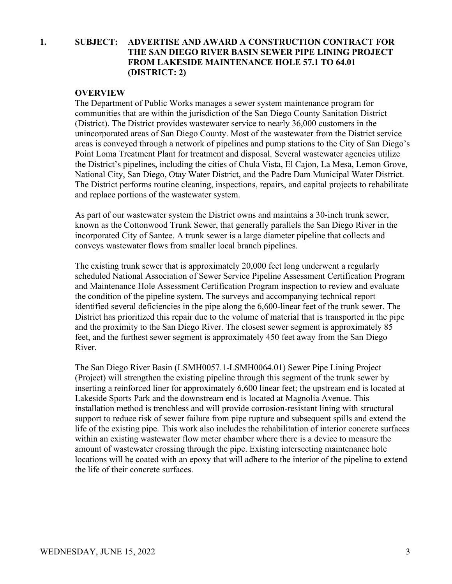# **1. SUBJECT: ADVERTISE AND AWARD A CONSTRUCTION CONTRACT FOR THE SAN DIEGO RIVER BASIN SEWER PIPE LINING PROJECT FROM LAKESIDE MAINTENANCE HOLE 57.1 TO 64.01 (DISTRICT: 2)**

### **OVERVIEW**

The Department of Public Works manages a sewer system maintenance program for communities that are within the jurisdiction of the San Diego County Sanitation District (District). The District provides wastewater service to nearly 36,000 customers in the unincorporated areas of San Diego County. Most of the wastewater from the District service areas is conveyed through a network of pipelines and pump stations to the City of San Diego's Point Loma Treatment Plant for treatment and disposal. Several wastewater agencies utilize the District's pipelines, including the cities of Chula Vista, El Cajon, La Mesa, Lemon Grove, National City, San Diego, Otay Water District, and the Padre Dam Municipal Water District. The District performs routine cleaning, inspections, repairs, and capital projects to rehabilitate and replace portions of the wastewater system.

As part of our wastewater system the District owns and maintains a 30-inch trunk sewer, known as the Cottonwood Trunk Sewer, that generally parallels the San Diego River in the incorporated City of Santee. A trunk sewer is a large diameter pipeline that collects and conveys wastewater flows from smaller local branch pipelines.

The existing trunk sewer that is approximately 20,000 feet long underwent a regularly scheduled National Association of Sewer Service Pipeline Assessment Certification Program and Maintenance Hole Assessment Certification Program inspection to review and evaluate the condition of the pipeline system. The surveys and accompanying technical report identified several deficiencies in the pipe along the 6,600-linear feet of the trunk sewer. The District has prioritized this repair due to the volume of material that is transported in the pipe and the proximity to the San Diego River. The closest sewer segment is approximately 85 feet, and the furthest sewer segment is approximately 450 feet away from the San Diego River.

The San Diego River Basin (LSMH0057.1-LSMH0064.01) Sewer Pipe Lining Project (Project) will strengthen the existing pipeline through this segment of the trunk sewer by inserting a reinforced liner for approximately 6,600 linear feet; the upstream end is located at Lakeside Sports Park and the downstream end is located at Magnolia Avenue. This installation method is trenchless and will provide corrosion-resistant lining with structural support to reduce risk of sewer failure from pipe rupture and subsequent spills and extend the life of the existing pipe. This work also includes the rehabilitation of interior concrete surfaces within an existing wastewater flow meter chamber where there is a device to measure the amount of wastewater crossing through the pipe. Existing intersecting maintenance hole locations will be coated with an epoxy that will adhere to the interior of the pipeline to extend the life of their concrete surfaces.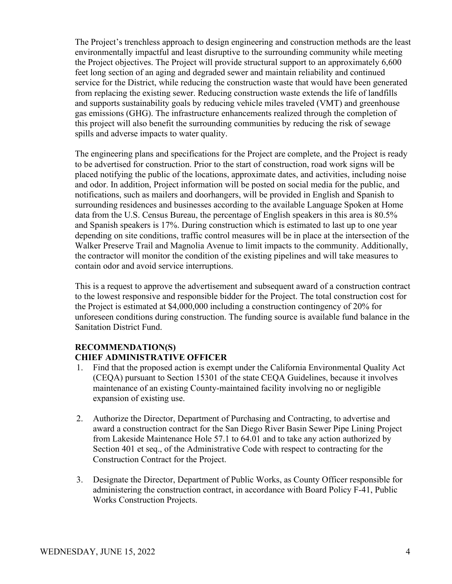The Project's trenchless approach to design engineering and construction methods are the least environmentally impactful and least disruptive to the surrounding community while meeting the Project objectives. The Project will provide structural support to an approximately 6,600 feet long section of an aging and degraded sewer and maintain reliability and continued service for the District, while reducing the construction waste that would have been generated from replacing the existing sewer. Reducing construction waste extends the life of landfills and supports sustainability goals by reducing vehicle miles traveled (VMT) and greenhouse gas emissions (GHG). The infrastructure enhancements realized through the completion of this project will also benefit the surrounding communities by reducing the risk of sewage spills and adverse impacts to water quality.

The engineering plans and specifications for the Project are complete, and the Project is ready to be advertised for construction. Prior to the start of construction, road work signs will be placed notifying the public of the locations, approximate dates, and activities, including noise and odor. In addition, Project information will be posted on social media for the public, and notifications, such as mailers and doorhangers, will be provided in English and Spanish to surrounding residences and businesses according to the available Language Spoken at Home data from the U.S. Census Bureau, the percentage of English speakers in this area is 80.5% and Spanish speakers is 17%. During construction which is estimated to last up to one year depending on site conditions, traffic control measures will be in place at the intersection of the Walker Preserve Trail and Magnolia Avenue to limit impacts to the community. Additionally, the contractor will monitor the condition of the existing pipelines and will take measures to contain odor and avoid service interruptions.

This is a request to approve the advertisement and subsequent award of a construction contract to the lowest responsive and responsible bidder for the Project. The total construction cost for the Project is estimated at \$4,000,000 including a construction contingency of 20% for unforeseen conditions during construction. The funding source is available fund balance in the Sanitation District Fund.

# **RECOMMENDATION(S)**

# **CHIEF ADMINISTRATIVE OFFICER**

- 1. Find that the proposed action is exempt under the California Environmental Quality Act (CEQA) pursuant to Section 15301 of the state CEQA Guidelines, because it involves maintenance of an existing County-maintained facility involving no or negligible expansion of existing use.
- 2. Authorize the Director, Department of Purchasing and Contracting, to advertise and award a construction contract for the San Diego River Basin Sewer Pipe Lining Project from Lakeside Maintenance Hole 57.1 to 64.01 and to take any action authorized by Section 401 et seq., of the Administrative Code with respect to contracting for the Construction Contract for the Project.
- 3. Designate the Director, Department of Public Works, as County Officer responsible for administering the construction contract, in accordance with Board Policy F-41, Public Works Construction Projects.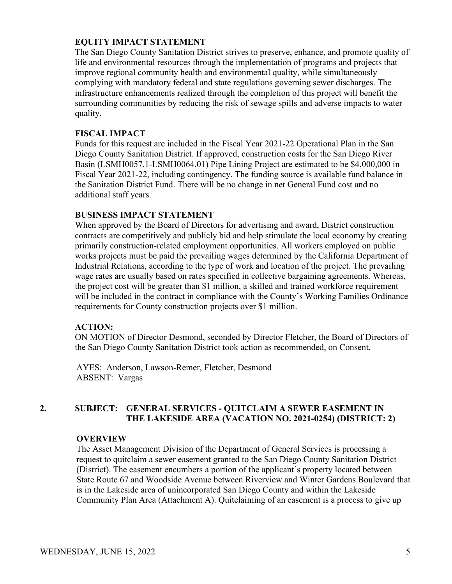### **EQUITY IMPACT STATEMENT**

The San Diego County Sanitation District strives to preserve, enhance, and promote quality of life and environmental resources through the implementation of programs and projects that improve regional community health and environmental quality, while simultaneously complying with mandatory federal and state regulations governing sewer discharges. The infrastructure enhancements realized through the completion of this project will benefit the surrounding communities by reducing the risk of sewage spills and adverse impacts to water quality.

### **FISCAL IMPACT**

Funds for this request are included in the Fiscal Year 2021-22 Operational Plan in the San Diego County Sanitation District. If approved, construction costs for the San Diego River Basin (LSMH0057.1-LSMH0064.01) Pipe Lining Project are estimated to be \$4,000,000 in Fiscal Year 2021-22, including contingency. The funding source is available fund balance in the Sanitation District Fund. There will be no change in net General Fund cost and no additional staff years.

### **BUSINESS IMPACT STATEMENT**

When approved by the Board of Directors for advertising and award, District construction contracts are competitively and publicly bid and help stimulate the local economy by creating primarily construction-related employment opportunities. All workers employed on public works projects must be paid the prevailing wages determined by the California Department of Industrial Relations, according to the type of work and location of the project. The prevailing wage rates are usually based on rates specified in collective bargaining agreements. Whereas, the project cost will be greater than \$1 million, a skilled and trained workforce requirement will be included in the contract in compliance with the County's Working Families Ordinance requirements for County construction projects over \$1 million.

### **ACTION:**

ON MOTION of Director Desmond, seconded by Director Fletcher, the Board of Directors of the San Diego County Sanitation District took action as recommended, on Consent.

AYES: Anderson, Lawson-Remer, Fletcher, Desmond ABSENT: Vargas

# **2. SUBJECT: GENERAL SERVICES - QUITCLAIM A SEWER EASEMENT IN THE LAKESIDE AREA (VACATION NO. 2021-0254) (DISTRICT: 2)**

### **OVERVIEW**

The Asset Management Division of the Department of General Services is processing a request to quitclaim a sewer easement granted to the San Diego County Sanitation District (District). The easement encumbers a portion of the applicant's property located between State Route 67 and Woodside Avenue between Riverview and Winter Gardens Boulevard that is in the Lakeside area of unincorporated San Diego County and within the Lakeside Community Plan Area (Attachment A). Quitclaiming of an easement is a process to give up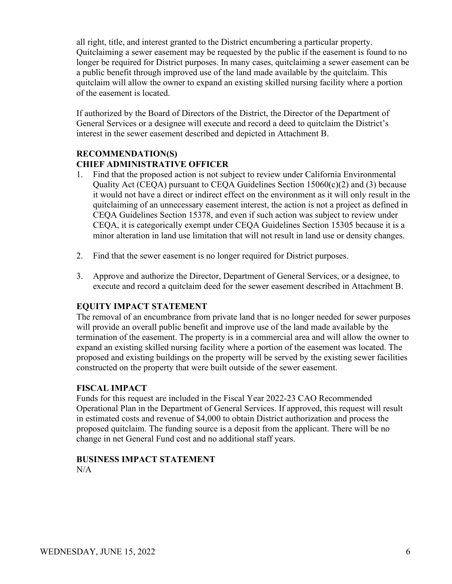all right, title, and interest granted to the District encumbering a particular property. Quitclaiming a sewer easement may be requested by the public if the easement is found to no longer be required for District purposes. In many cases, quitclaiming a sewer easement can be a public benefit through improved use of the land made available by the quitclaim. This quitclaim will allow the owner to expand an existing skilled nursing facility where a portion of the easement is located.

If authorized by the Board of Directors of the District, the Director of the Department of General Services or a designee will execute and record a deed to quitclaim the District's interest in the sewer easement described and depicted in Attachment B.

# **RECOMMENDATION(S) CHIEF ADMINISTRATIVE OFFICER**

- 1. Find that the proposed action is not subject to review under California Environmental Quality Act (CEQA) pursuant to CEQA Guidelines Section 15060(c)(2) and (3) because it would not have a direct or indirect effect on the environment as it will only result in the quitclaiming of an unnecessary easement interest, the action is not a project as defined in CEQA Guidelines Section 15378, and even if such action was subject to review under CEQA, it is categorically exempt under CEQA Guidelines Section 15305 because it is a minor alteration in land use limitation that will not result in land use or density changes.
- 2. Find that the sewer easement is no longer required for District purposes.
- 3. Approve and authorize the Director, Department of General Services, or a designee, to execute and record a quitclaim deed for the sewer easement described in Attachment B.

# **EQUITY IMPACT STATEMENT**

The removal of an encumbrance from private land that is no longer needed for sewer purposes will provide an overall public benefit and improve use of the land made available by the termination of the easement. The property is in a commercial area and will allow the owner to expand an existing skilled nursing facility where a portion of the easement was located. The proposed and existing buildings on the property will be served by the existing sewer facilities constructed on the property that were built outside of the sewer easement.

# **FISCAL IMPACT**

Funds for this request are included in the Fiscal Year 2022-23 CAO Recommended Operational Plan in the Department of General Services. If approved, this request will result in estimated costs and revenue of \$4,000 to obtain District authorization and process the proposed quitclaim. The funding source is a deposit from the applicant. There will be no change in net General Fund cost and no additional staff years.

#### **BUSINESS IMPACT STATEMENT**  $N/A$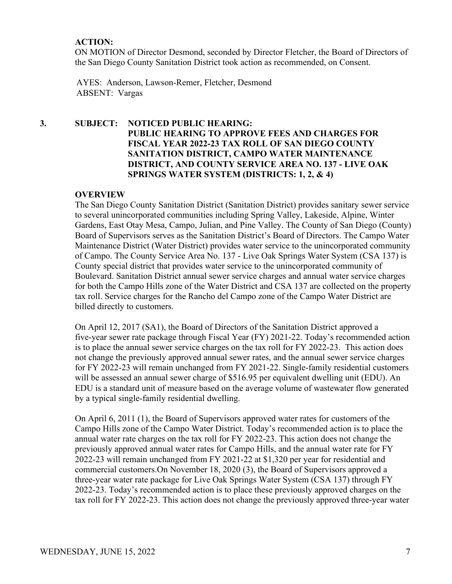### **ACTION:**

ON MOTION of Director Desmond, seconded by Director Fletcher, the Board of Directors of the San Diego County Sanitation District took action as recommended, on Consent.

AYES: Anderson, Lawson-Remer, Fletcher, Desmond ABSENT: Vargas

**3. SUBJECT: NOTICED PUBLIC HEARING: PUBLIC HEARING TO APPROVE FEES AND CHARGES FOR FISCAL YEAR 2022-23 TAX ROLL OF SAN DIEGO COUNTY SANITATION DISTRICT, CAMPO WATER MAINTENANCE DISTRICT, AND COUNTY SERVICE AREA NO. 137 - LIVE OAK SPRINGS WATER SYSTEM (DISTRICTS: 1, 2, & 4)**

### **OVERVIEW**

The San Diego County Sanitation District (Sanitation District) provides sanitary sewer service to several unincorporated communities including Spring Valley, Lakeside, Alpine, Winter Gardens, East Otay Mesa, Campo, Julian, and Pine Valley. The County of San Diego (County) Board of Supervisors serves as the Sanitation District's Board of Directors. The Campo Water Maintenance District (Water District) provides water service to the unincorporated community of Campo. The County Service Area No. 137 - Live Oak Springs Water System (CSA 137) is County special district that provides water service to the unincorporated community of Boulevard. Sanitation District annual sewer service charges and annual water service charges for both the Campo Hills zone of the Water District and CSA 137 are collected on the property tax roll. Service charges for the Rancho del Campo zone of the Campo Water District are billed directly to customers.

On April 12, 2017 (SA1), the Board of Directors of the Sanitation District approved a five-year sewer rate package through Fiscal Year (FY) 2021-22. Today's recommended action is to place the annual sewer service charges on the tax roll for FY 2022-23. This action does not change the previously approved annual sewer rates, and the annual sewer service charges for FY 2022-23 will remain unchanged from FY 2021-22. Single-family residential customers will be assessed an annual sewer charge of \$516.95 per equivalent dwelling unit (EDU). An EDU is a standard unit of measure based on the average volume of wastewater flow generated by a typical single-family residential dwelling.

On April 6, 2011 (1), the Board of Supervisors approved water rates for customers of the Campo Hills zone of the Campo Water District. Today's recommended action is to place the annual water rate charges on the tax roll for FY 2022-23. This action does not change the previously approved annual water rates for Campo Hills, and the annual water rate for FY 2022-23 will remain unchanged from FY 2021-22 at \$1,320 per year for residential and commercial customers.On November 18, 2020 (3), the Board of Supervisors approved a three-year water rate package for Live Oak Springs Water System (CSA 137) through FY 2022-23. Today's recommended action is to place these previously approved charges on the tax roll for FY 2022-23. This action does not change the previously approved three-year water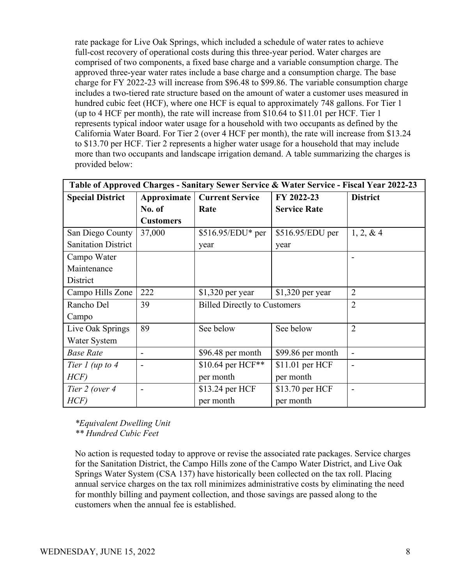rate package for Live Oak Springs, which included a schedule of water rates to achieve full-cost recovery of operational costs during this three-year period. Water charges are comprised of two components, a fixed base charge and a variable consumption charge. The approved three-year water rates include a base charge and a consumption charge. The base charge for FY 2022-23 will increase from \$96.48 to \$99.86. The variable consumption charge includes a two-tiered rate structure based on the amount of water a customer uses measured in hundred cubic feet (HCF), where one HCF is equal to approximately 748 gallons. For Tier 1 (up to 4 HCF per month), the rate will increase from \$10.64 to \$11.01 per HCF. Tier 1 represents typical indoor water usage for a household with two occupants as defined by the California Water Board. For Tier 2 (over 4 HCF per month), the rate will increase from \$13.24 to \$13.70 per HCF. Tier 2 represents a higher water usage for a household that may include more than two occupants and landscape irrigation demand. A table summarizing the charges is provided below:

| Table of Approved Charges - Sanitary Sewer Service & Water Service - Fiscal Year 2022-23 |                          |                                     |                     |                              |
|------------------------------------------------------------------------------------------|--------------------------|-------------------------------------|---------------------|------------------------------|
| <b>Special District</b>                                                                  | Approximate              | <b>Current Service</b>              | FY 2022-23          | <b>District</b>              |
|                                                                                          | No. of                   | Rate                                | <b>Service Rate</b> |                              |
|                                                                                          | <b>Customers</b>         |                                     |                     |                              |
| San Diego County                                                                         | 37,000                   | $$516.95/EDU*$ per                  | $$516.95/EDU$ per   | 1, 2, 8, 4                   |
| <b>Sanitation District</b>                                                               |                          | year                                | year                |                              |
| Campo Water                                                                              |                          |                                     |                     |                              |
| Maintenance                                                                              |                          |                                     |                     |                              |
| District                                                                                 |                          |                                     |                     |                              |
| Campo Hills Zone                                                                         | 222                      | $$1,320$ per year                   | $$1,320$ per year   | $\overline{2}$               |
| Rancho Del                                                                               | 39                       | <b>Billed Directly to Customers</b> |                     | $\overline{2}$               |
| Campo                                                                                    |                          |                                     |                     |                              |
| Live Oak Springs                                                                         | 89                       | See below                           | See below           | $\overline{2}$               |
| Water System                                                                             |                          |                                     |                     |                              |
| <b>Base Rate</b>                                                                         | $\overline{\phantom{a}}$ | \$96.48 per month                   | \$99.86 per month   | $\qquad \qquad \blacksquare$ |
| Tier $1$ (up to $4$                                                                      | $\overline{\phantom{0}}$ | \$10.64 per HCF**                   | \$11.01 per HCF     |                              |
| HCF                                                                                      |                          | per month                           | per month           |                              |
| Tier 2 (over 4                                                                           |                          | \$13.24 per HCF                     | \$13.70 per HCF     |                              |
| HCF                                                                                      |                          | per month                           | per month           |                              |

*\*Equivalent Dwelling Unit \*\* Hundred Cubic Feet*

No action is requested today to approve or revise the associated rate packages. Service charges for the Sanitation District, the Campo Hills zone of the Campo Water District, and Live Oak Springs Water System (CSA 137) have historically been collected on the tax roll. Placing annual service charges on the tax roll minimizes administrative costs by eliminating the need for monthly billing and payment collection, and those savings are passed along to the customers when the annual fee is established.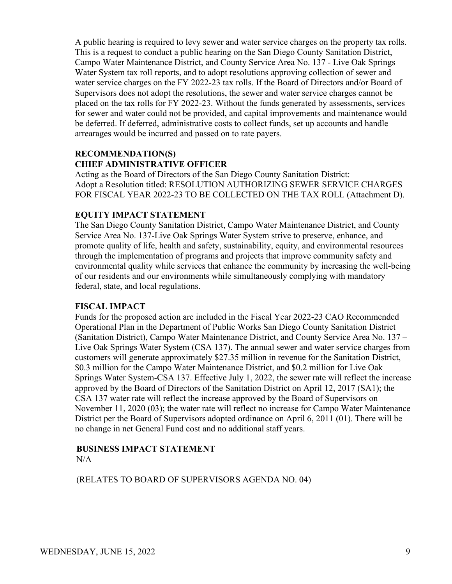A public hearing is required to levy sewer and water service charges on the property tax rolls. This is a request to conduct a public hearing on the San Diego County Sanitation District, Campo Water Maintenance District, and County Service Area No. 137 - Live Oak Springs Water System tax roll reports, and to adopt resolutions approving collection of sewer and water service charges on the FY 2022-23 tax rolls. If the Board of Directors and/or Board of Supervisors does not adopt the resolutions, the sewer and water service charges cannot be placed on the tax rolls for FY 2022-23. Without the funds generated by assessments, services for sewer and water could not be provided, and capital improvements and maintenance would be deferred. If deferred, administrative costs to collect funds, set up accounts and handle arrearages would be incurred and passed on to rate payers.

### **RECOMMENDATION(S) CHIEF ADMINISTRATIVE OFFICER**

Acting as the Board of Directors of the San Diego County Sanitation District: Adopt a Resolution titled: RESOLUTION AUTHORIZING SEWER SERVICE CHARGES FOR FISCAL YEAR 2022-23 TO BE COLLECTED ON THE TAX ROLL (Attachment D).

### **EQUITY IMPACT STATEMENT**

The San Diego County Sanitation District, Campo Water Maintenance District, and County Service Area No. 137-Live Oak Springs Water System strive to preserve, enhance, and promote quality of life, health and safety, sustainability, equity, and environmental resources through the implementation of programs and projects that improve community safety and environmental quality while services that enhance the community by increasing the well-being of our residents and our environments while simultaneously complying with mandatory federal, state, and local regulations.

### **FISCAL IMPACT**

Funds for the proposed action are included in the Fiscal Year 2022-23 CAO Recommended Operational Plan in the Department of Public Works San Diego County Sanitation District (Sanitation District), Campo Water Maintenance District, and County Service Area No. 137 – Live Oak Springs Water System (CSA 137). The annual sewer and water service charges from customers will generate approximately \$27.35 million in revenue for the Sanitation District, \$0.3 million for the Campo Water Maintenance District, and \$0.2 million for Live Oak Springs Water System-CSA 137. Effective July 1, 2022, the sewer rate will reflect the increase approved by the Board of Directors of the Sanitation District on April 12, 2017 (SA1); the CSA 137 water rate will reflect the increase approved by the Board of Supervisors on November 11, 2020 (03); the water rate will reflect no increase for Campo Water Maintenance District per the Board of Supervisors adopted ordinance on April 6, 2011 (01). There will be no change in net General Fund cost and no additional staff years.

### **BUSINESS IMPACT STATEMENT** N/A

(RELATES TO BOARD OF SUPERVISORS AGENDA NO. 04)